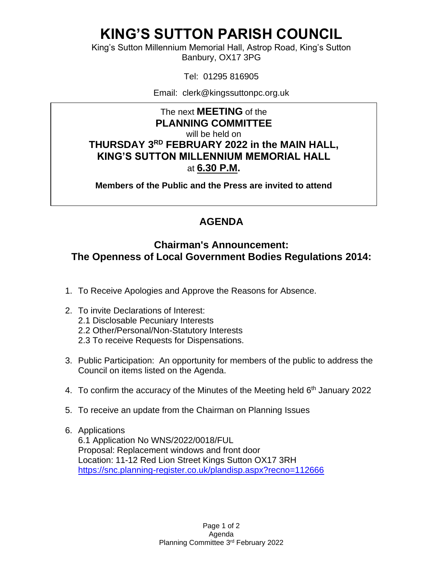# **KING'S SUTTON PARISH COUNCIL**

King's Sutton Millennium Memorial Hall, Astrop Road, King's Sutton Banbury, OX17 3PG

Tel: 01295 816905

Email: clerk@kingssuttonpc.org.uk

The next **MEETING** of the **PLANNING COMMITTEE** will be held on **THURSDAY 3 RD FEBRUARY 2022 in the MAIN HALL, KING'S SUTTON MILLENNIUM MEMORIAL HALL** at **6.30 P.M.** 

**Members of the Public and the Press are invited to attend** 

### **AGENDA**

### **Chairman's Announcement: The Openness of Local Government Bodies Regulations 2014:**

- 1. To Receive Apologies and Approve the Reasons for Absence.
- 2. To invite Declarations of Interest:
	- 2.1 Disclosable Pecuniary Interests
	- 2.2 Other/Personal/Non-Statutory Interests
	- 2.3 To receive Requests for Dispensations.
- 3. Public Participation: An opportunity for members of the public to address the Council on items listed on the Agenda.
- 4. To confirm the accuracy of the Minutes of the Meeting held 6<sup>th</sup> January 2022
- 5. To receive an update from the Chairman on Planning Issues
- 6. Applications

6.1 Application No WNS/2022/0018/FUL Proposal: Replacement windows and front door Location: 11-12 Red Lion Street Kings Sutton OX17 3RH <https://snc.planning-register.co.uk/plandisp.aspx?recno=112666>